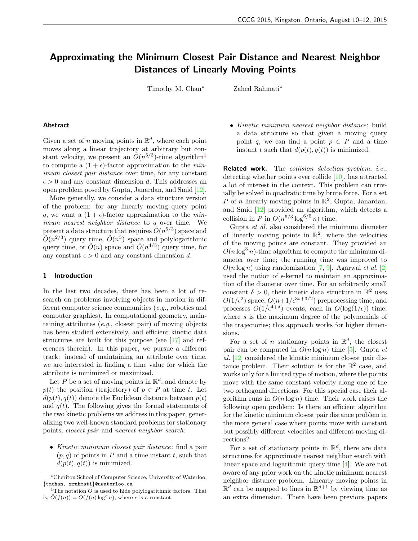# Approximating the Minimum Closest Pair Distance and Nearest Neighbor Distances of Linearly Moving Points

Timothy M. Chan<sup>∗</sup> Zahed Rahmati<sup>\*</sup>

### Abstract

Given a set of n moving points in  $\mathbb{R}^d$ , where each point moves along a linear trajectory at arbitrary but constant velocity, we present an  $\tilde{O}(n^{5/3})$ -time algorithm<sup>[1](#page-0-0)</sup> to compute a  $(1 + \epsilon)$ -factor approximation to the *min*imum closest pair distance over time, for any constant  $\epsilon > 0$  and any constant dimension d. This addresses an open problem posed by Gupta, Janardan, and Smid [\[12\]](#page-4-0).

More generally, we consider a data structure version of the problem: for any linearly moving query point q, we want a  $(1 + \epsilon)$ -factor approximation to the *min*imum nearest neighbor distance to q over time. We present a data structure that requires  $\tilde{O}(n^{5/3})$  space and  $\tilde{O}(n^{2/3})$  query time,  $\tilde{O}(n^5)$  space and polylogarithmic query time, or  $\tilde{O}(n)$  space and  $\tilde{O}(n^{4/5})$  query time, for any constant  $\epsilon > 0$  and any constant dimension d.

### 1 Introduction

In the last two decades, there has been a lot of research on problems involving objects in motion in different computer science communities (e.g., robotics and computer graphics). In computational geometry, maintaining attributes (e.g., closest pair) of moving objects has been studied extensively, and efficient kinetic data structures are built for this purpose (see [\[17\]](#page-4-1) and references therein). In this paper, we pursue a different track: instead of maintaining an attribute over time, we are interested in finding a time value for which the attribute is minimized or maximized.

Let P be a set of moving points in  $\mathbb{R}^d$ , and denote by  $p(t)$  the position (trajectory) of  $p \in P$  at time t. Let  $d(p(t), q(t))$  denote the Euclidean distance between  $p(t)$ and  $q(t)$ . The following gives the formal statements of the two kinetic problems we address in this paper, generalizing two well-known standard problems for stationary points, closest pair and nearest neighbor search:

• Kinetic minimum closest pair distance: find a pair  $(p, q)$  of points in P and a time instant t, such that  $d(p(t), q(t))$  is minimized.

• Kinetic minimum nearest neighbor distance: build a data structure so that given a moving query point q, we can find a point  $p \in P$  and a time instant t such that  $d(p(t), q(t))$  is minimized.

Related work. The collision detection problem, i.e., detecting whether points ever collide [\[10\]](#page-4-2), has attracted a lot of interest in the context. This problem can trivially be solved in quadratic time by brute force. For a set P of n linearly moving points in  $\mathbb{R}^2$ , Gupta, Janardan, and Smid [\[12\]](#page-4-0) provided an algorithm, which detects a collision in P in  $O(n^{5/3} \log^{6/5} n)$  time.

Gupta et al. also considered the minimum diameter of linearly moving points in  $\mathbb{R}^2$ , where the velocities of the moving points are constant. They provided an  $O(n \log^3 n)$ -time algorithm to compute the minimum diameter over time; the running time was improved to  $O(n \log n)$  using randomization [\[7,](#page-4-3) [9\]](#page-4-4). Agarwal *et al.* [\[2\]](#page-3-0) used the notion of  $\epsilon$ -kernel to maintain an approximation of the diameter over time. For an arbitrarily small constant  $\delta > 0$ , their kinetic data structure in  $\mathbb{R}^2$  uses  $O(1/\epsilon^2)$  space,  $O(n+1/\epsilon^{3s+3/2})$  preprocessing time, and processes  $O(1/\epsilon^{4+\delta})$  events, each in  $O(\log(1/\epsilon))$  time, where s is the maximum degree of the polynomials of the trajectories; this approach works for higher dimensions.

For a set of *n* stationary points in  $\mathbb{R}^d$ , the closest pair can be computed in  $O(n \log n)$  time [\[5\]](#page-4-5). Gupta *et* al. [\[12\]](#page-4-0) considered the kinetic minimum closest pair distance problem. Their solution is for the  $\mathbb{R}^2$  case, and works only for a limited type of motion, where the points move with the same constant velocity along one of the two orthogonal directions. For this special case their algorithm runs in  $O(n \log n)$  time. Their work raises the following open problem: Is there an efficient algorithm for the kinetic minimum closest pair distance problem in the more general case where points move with constant but possibly different velocities and different moving directions?

For a set of stationary points in  $\mathbb{R}^d$ , there are data structures for approximate nearest neighbor search with linear space and logarithmic query time [\[4\]](#page-4-6). We are not aware of any prior work on the kinetic minimum nearest neighbor distance problem. Linearly moving points in  $\mathbb{R}^d$  can be mapped to lines in  $\mathbb{R}^{d+1}$  by viewing time as an extra dimension. There have been previous papers

<sup>∗</sup>Cheriton School of Computer Science, University of Waterloo, {tmchan, zrahmati}@uwaterloo.ca

<span id="page-0-0"></span><sup>&</sup>lt;sup>1</sup>The notation  $\tilde{O}$  is used to hide polylogarithmic factors. That is,  $\tilde{O}(f(n)) = O(f(n) \log^c n)$ , where c is a constant.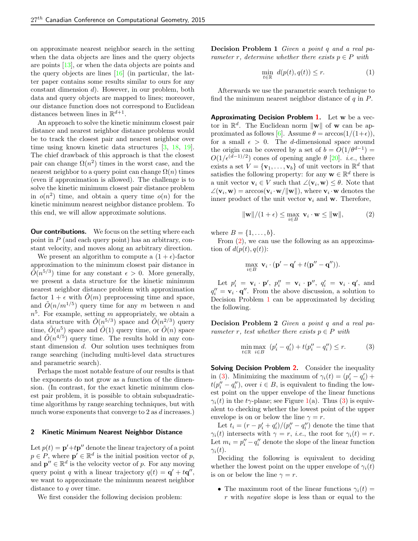on approximate nearest neighbor search in the setting when the data objects are lines and the query objects are points [\[13\]](#page-4-7), or when the data objects are points and the query objects are lines [\[16\]](#page-4-8) (in particular, the latter paper contains some results similar to ours for any constant dimension d). However, in our problem, both data and query objects are mapped to lines; moreover, our distance function does not correspond to Euclidean distances between lines in  $\mathbb{R}^{d+1}$ .

An approach to solve the kinetic minimum closest pair distance and nearest neighbor distance problems would be to track the closest pair and nearest neighbor over time using known kinetic data structures [\[3,](#page-3-1) [18,](#page-4-9) [19\]](#page-4-10). The chief drawback of this approach is that the closest pair can change  $\Omega(n^2)$  times in the worst case, and the nearest neighbor to a query point can change  $\Omega(n)$  times (even if approximation is allowed). The challenge is to solve the kinetic minimum closest pair distance problem in  $o(n^2)$  time, and obtain a query time  $o(n)$  for the kinetic minimum nearest neighbor distance problem. To this end, we will allow approximate solutions.

**Our contributions.** We focus on the setting where each point in  $P$  (and each query point) has an arbitrary, constant velocity, and moves along an arbitrary direction.

We present an algorithm to compute a  $(1 + \epsilon)$ -factor approximation to the minimum closest pair distance in  $\tilde{O}(n^{5/3})$  time for any constant  $\epsilon > 0$ . More generally, we present a data structure for the kinetic minimum nearest neighbor distance problem with approximation factor  $1 + \epsilon$  with  $O(m)$  preprocessing time and space, and  $\tilde{O}(n/m^{1/5})$  query time for any m between n and  $n<sup>5</sup>$ . For example, setting m appropriately, we obtain a data structure with  $\tilde{O}(n^{5/3})$  space and  $\tilde{O}(n^{2/3})$  query time,  $\tilde{O}(n^5)$  space and  $\tilde{O}(1)$  query time, or  $\tilde{O}(n)$  space and  $\tilde{O}(n^{4/5})$  query time. The results hold in any constant dimension d. Our solution uses techniques from range searching (including multi-level data structures and parametric search).

Perhaps the most notable feature of our results is that the exponents do not grow as a function of the dimension. (In contrast, for the exact kinetic minimum closest pair problem, it is possible to obtain subquadratictime algorithms by range searching techniques, but with much worse exponents that converge to 2 as d increases.)

#### 2 Kinetic Minimum Nearest Neighbor Distance

Let  $p(t) = \mathbf{p'} + t\mathbf{p''}$  denote the linear trajectory of a point  $p \in P$ , where  $p' \in \mathbb{R}^d$  is the initial position vector of p, and  $\mathbf{p}'' \in \mathbb{R}^d$  is the velocity vector of p. For any moving query point q with a linear trajectory  $q(t) = \mathbf{q}' + t\mathbf{q}''$ , we want to approximate the minimum nearest neighbor distance to q over time.

We first consider the following decision problem:

Decision Problem 1 Given a point q and a real parameter r, determine whether there exists  $p \in P$  with

$$
\min_{t \in \mathbb{R}} \ d(p(t), q(t)) \le r. \tag{1}
$$

Afterwards we use the parametric search technique to find the minimum nearest neighbor distance of  $q$  in  $P$ .

Approximating Decision Problem [1.](#page-1-0) Let w be a vector in  $\mathbb{R}^d$ . The Euclidean norm  $\|\mathbf{w}\|$  of **w** can be ap-proximated as follows [\[6\]](#page-4-11). Assume  $\theta = \arccos(1/(1+\epsilon)),$ for a small  $\epsilon > 0$ . The d-dimensional space around the origin can be covered by a set of  $b = O(1/\theta^{d-1})$  =  $O(1/\epsilon^{(d-1)/2})$  cones of opening angle  $\theta$  [\[20\]](#page-4-12). *i.e.*, there exists a set  $V = {\mathbf{v}_1, ..., \mathbf{v}_b}$  of unit vectors in  $\mathbb{R}^d$  that satisfies the following property: for any  $\mathbf{w} \in \mathbb{R}^d$  there is a unit vector  $\mathbf{v}_i \in V$  such that  $\angle(\mathbf{v}_i, \mathbf{w}) \leq \theta$ . Note that  $\angle(\mathbf{v}_i, \mathbf{w}) = \arccos(\mathbf{v}_i \cdot \mathbf{w}/\|\mathbf{w}\|), \text{ where } \mathbf{v}_i \cdot \mathbf{w} \text{ denotes the }$ inner product of the unit vector  $v_i$  and w. Therefore,

<span id="page-1-1"></span>
$$
\|\mathbf{w}\|/(1+\epsilon) \le \max_{i \in B} \mathbf{v}_i \cdot \mathbf{w} \le \|\mathbf{w}\|,\tag{2}
$$

where  $B = \{1, ..., b\}$ .

From [\(2\)](#page-1-1), we can use the following as an approximation of  $d(p(t), q(t))$ :

$$
\max_{i \in B} \mathbf{v}_i \cdot (\mathbf{p}' - \mathbf{q}' + t(\mathbf{p}'' - \mathbf{q}'')).
$$

Let  $p'_i = \mathbf{v}_i \cdot \mathbf{p}'$ ,  $p''_i = \mathbf{v}_i \cdot \mathbf{p}''$ ,  $q'_i = \mathbf{v}_i \cdot \mathbf{q}'$ , and  $q''_i = \mathbf{v}_i \cdot \mathbf{q}''$ . From the above discussion, a solution to Decision Problem [1](#page-1-0) can be approximated by deciding the following.

<span id="page-1-2"></span>Decision Problem 2 Given a point q and a real parameter r, test whether there exists  $p \in P$  with

<span id="page-1-3"></span>
$$
\min_{t \in \mathbb{R}} \max_{i \in B} (p'_i - q'_i) + t(p''_i - q''_i) \le r.
$$
 (3)

Solving Decision Problem [2.](#page-1-2) Consider the inequality in [\(3\)](#page-1-3). Minimizing the maximum of  $\gamma_i(t) = (p'_i - q'_i) +$  $t(p''_i - q''_i)$ , over  $i \in B$ , is equivalent to finding the lowest point on the upper envelope of the linear functions  $\gamma_i(t)$  in the t $\gamma$ -plane; see Figure [1\(](#page-2-0)a). Thus [\(3\)](#page-1-3) is equivalent to checking whether the lowest point of the upper envelope is on or below the line  $\gamma = r$ .

Let  $t_i = (r - p_i' + q_i')/(p_i'' - q_i'')$  denote the time that  $\gamma_i(t)$  intersects with  $\gamma = r$ , *i.e.*, the root for  $\gamma_i(t) = r$ . Let  $m_i = p''_i - q''_i$  denote the slope of the linear function  $\gamma_i(t)$ .

Deciding the following is equivalent to deciding whether the lowest point on the upper envelope of  $\gamma_i(t)$ is on or below the line  $\gamma = r$ .

<span id="page-1-0"></span>• The maximum root of the linear functions  $\gamma_i(t) =$  $r$  with *negative* slope is less than or equal to the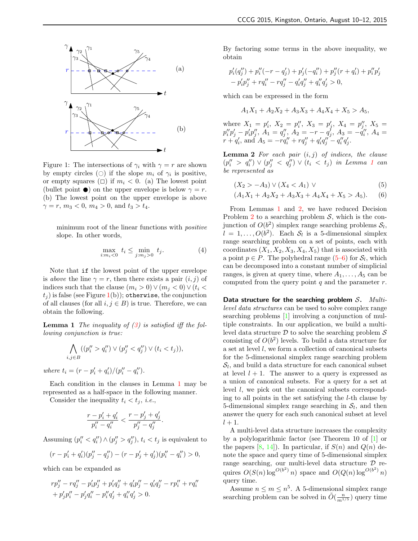

<span id="page-2-0"></span>Figure 1: The intersections of  $\gamma_i$  with  $\gamma = r$  are shown by empty circles ( $\bigcirc$ ) if the slope  $m_i$  of  $\gamma_i$  is positive, or empty squares ( $\Box$ ) if  $m_i < 0$ . (a) The lowest point (bullet point  $\bullet$ ) on the upper envelope is below  $\gamma = r$ . (b) The lowest point on the upper envelope is above  $\gamma = r, m_3 < 0, m_4 > 0, \text{ and } t_3 > t_4.$ 

minimum root of the linear functions with *positive* slope. In other words,

$$
\max_{i:m_i<0} t_i \le \min_{j:m_j>0} t_j.
$$
 (4)

Note that if the lowest point of the upper envelope is above the line  $\gamma = r$ , then there exists a pair  $(i, j)$  of indices such that the clause  $(m_i > 0) \vee (m_j < 0) \vee (t_i <$  $t_i$ ) is false (see Figure [1\(](#page-2-0)b)); otherwise, the conjunction of all clauses (for all  $i, j \in B$ ) is true. Therefore, we can obtain the following.

**Lemma 1** The inequality of  $(3)$  is satisfied iff the following conjunction is true:

<span id="page-2-1"></span>
$$
\bigwedge_{i,j\in B} ((p''_i > q''_i) \vee (p''_j < q''_j) \vee (t_i < t_j)),
$$

where  $t_i = (r - p'_i + q'_i)/(p''_i - q''_i)$ .

Each condition in the clauses in Lemma [1](#page-2-1) may be represented as a half-space in the following manner.

Consider the inequality  $t_i < t_j$ , *i.e.*,

$$
\frac{r-p'_i+q'_i}{p''_i-q''_i} < \frac{r-p'_j+q'_j}{p''_j-q''_j}.
$$

Assuming  $(p''_i < q''_i) \wedge (p''_j > q''_j), t_i < t_j$  is equivalent to

$$
(r - p'_i + q'_i)(p''_j - q''_j) - (r - p'_j + q'_j)(p''_i - q''_i) > 0,
$$

which can be expanded as

$$
rp''_j - rq''_j - p'_ip''_j + p'_iq''_j + q'_ip''_j - q'_iq''_j - rp''_i + rq''_i
$$
  
+  $p'_jp''_i - p'_jq''_i - p''_iq'_j + q''_iq'_j > 0.$ 

By factoring some terms in the above inequality, we obtain

$$
p_i'(q_j'') + p_i''(-r - q_j') + p_j'(-q_i'') + p_j''(r + q_i') + p_i''p_j' - p_i'p_j'' + rq_i'' - rq_j'' - q_i'q_j'' + q_i''q_j' > 0,
$$

which can be expressed in the form

$$
A_1X_1 + A_2X_2 + A_3X_3 + A_4X_4 + X_5 > A_5,
$$

where  $X_1 = p'_i, X_2 = p''_i, X_3 = p'_j, X_4 = p''_j, X_5 =$  $p''_i p'_j - p'_i p''_j,\, A_1 = q''_j,\, A_2 = -r - q'_j,\, A_3 = -q''_i,\, A_4 =$  $r + q'_i$ , and  $A_5 = -rq''_i + rq''_j + q'_iq''_j - q''_iq'_j$ .

<span id="page-2-2"></span>**Lemma 2** For each pair  $(i, j)$  of indices, the clause  $(p''_i > q''_i) \vee (p''_j < q''_j) \vee (t_i < t_j)$  in Lemma [1](#page-2-1) can be represented as

<span id="page-2-4"></span><span id="page-2-3"></span>
$$
(X_2 > -A_3) \vee (X_4 < A_1) \vee \tag{5}
$$

$$
(A_1X_1 + A_2X_2 + A_3X_3 + A_4X_4 + X_5 > A_5). \tag{6}
$$

From Lemmas [1](#page-2-1) and [2,](#page-2-2) we have reduced Decision Problem [2](#page-1-2) to a searching problem  $S$ , which is the conjunction of  $O(b^2)$  simplex range searching problems  $S_l$ ,  $l = 1, \ldots, O(b^2)$ . Each  $S_l$  is a 5-dimensional simplex range searching problem on a set of points, each with coordinates  $(X_1, X_2, X_3, X_4, X_5)$  that is associated with a point  $p \in P$ . The polyhedral range [\(5–](#page-2-3)[6\)](#page-2-4) for  $S_l$ , which can be decomposed into a constant number of simplicial ranges, is given at query time, where  $A_1, \ldots, A_5$  can be computed from the query point  $q$  and the parameter  $r$ .

Data structure for the searching problem  $S$ . Multilevel data structures can be used to solve complex range searching problems [\[1\]](#page-3-2) involving a conjunction of multiple constraints. In our application, we build a multilevel data structure  $\mathcal D$  to solve the searching problem  $\mathcal S$ consisting of  $O(b^2)$  levels. To build a data structure for a set at level l, we form a collection of canonical subsets for the 5-dimensional simplex range searching problem  $S_l$ , and build a data structure for each canonical subset at level  $l + 1$ . The answer to a query is expressed as a union of canonical subsets. For a query for a set at level l, we pick out the canonical subsets corresponding to all points in the set satisfying the l-th clause by 5-dimensional simplex range searching in  $S_l$ , and then answer the query for each such canonical subset at level  $l+1$ .

A multi-level data structure increases the complexity by a polylogarithmic factor (see Theorem 10 of [\[1\]](#page-3-2) or the papers  $[8, 14]$  $[8, 14]$  $[8, 14]$ . In particular, if  $S(n)$  and  $Q(n)$  denote the space and query time of 5-dimensional simplex range searching, our multi-level data structure  $\mathcal D$  requires  $O(S(n) \log^{O(b^2)} n)$  space and  $O(Q(n) \log^{O(b^2)} n)$ query time.

Assume  $n \leq m \leq n^5$ . A 5-dimensional simplex range searching problem can be solved in  $\tilde{O}(\frac{n}{m^{1/5}})$  query time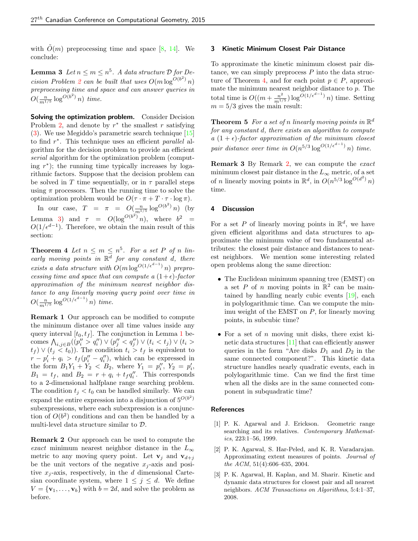with  $\tilde{O}(m)$  preprocessing time and space [\[8,](#page-4-13) [14\]](#page-4-14). We conclude:

<span id="page-3-3"></span>**Lemma 3** Let  $n \leq m \leq n^5$ . A data structure  $D$  for De-cision Problem [2](#page-1-2) can be built that uses  $O(m \log^{O(b^2)} n)$ preprocessing time and space and can answer queries in  $O(\frac{n}{m^{1/5}}\log^{O(b^2)} n)$  time.

Solving the optimization problem. Consider Decision Problem [2,](#page-1-2) and denote by  $r^*$  the smallest r satisfying [\(3\)](#page-1-3). We use Megiddo's parametric search technique [\[15\]](#page-4-15) to find  $r^*$ . This technique uses an efficient *parallel* algorithm for the decision problem to provide an efficient serial algorithm for the optimization problem (computing  $r^*$ ); the running time typically increases by logarithmic factors. Suppose that the decision problem can be solved in T time sequentially, or in  $\tau$  parallel steps using  $\pi$  processors. Then the running time to solve the optimization problem would be  $O(\tau \cdot \pi + T \cdot \tau \cdot \log \pi)$ .

In our case,  $T = \pi = O(\frac{n}{m^{1/5}} \log^{O(b^2)} n)$  (by Lemma [3\)](#page-3-3) and  $\tau = O(\log^{O(b^2)} n)$ , where  $b^2 =$  $O(1/\epsilon^{d-1})$ . Therefore, we obtain the main result of this section:

<span id="page-3-4"></span>**Theorem 4** Let  $n \leq m \leq n^5$ . For a set P of n linearly moving points in  $\mathbb{R}^d$  for any constant d, there exists a data structure with  $O(m \log^{O(1/\epsilon^{d-1})} n)$  preprocessing time and space that can compute a  $(1+\epsilon)$ -factor approximation of the minimum nearest neighbor distance to any linearly moving query point over time in  $O(\frac{n}{m^{1/5}}\log^{O(1/\epsilon^{d-1})} n)$  time.

Remark 1 Our approach can be modified to compute the minimum distance over all time values inside any query interval  $[t_0, t_f]$ . The conjunction in Lemma [1](#page-2-1) becomes  $\bigwedge_{i,j\in B} ((p''_i > q''_i) \vee (p''_j < q''_j) \vee (t_i < t_j) \vee (t_i >$  $t_f$ )  $\vee$   $(t_i < t_0)$ ). The condition  $t_i > t_f$  is equivalent to  $r - p'_i + q_i > t_f (p''_i - q''_i)$ , which can be expressed in the form  $B_1Y_1 + Y_2 < B_2$ , where  $Y_1 = p''_i$ ,  $Y_2 = p'_i$ ,  $B_1 = t_f$ , and  $B_2 = r + q_i + t_f q''_i$ . This corresponds to a 2-dimensional halfplane range searching problem. The condition  $t_j < t_0$  can be handled similarly. We can expand the entire expression into a disjunction of  $5^{O(b^2)}$ subexpressions, where each subexpression is a conjunction of  $O(b^2)$  conditions and can then be handled by a multi-level data structure similar to  $D$ .

<span id="page-3-5"></span>Remark 2 Our approach can be used to compute the exact minimum nearest neighbor distance in the  $L_{\infty}$ metric to any moving query point. Let  $\mathbf{v}_j$  and  $\mathbf{v}_{d+j}$ be the unit vectors of the negative  $x_j$ -axis and positive  $x_i$ -axis, respectively, in the d dimensional Cartesian coordinate system, where  $1 \leq j \leq d$ . We define  $V = {\mathbf{v}_1, \ldots, \mathbf{v}_b}$  with  $b = 2d$ , and solve the problem as before.

## 3 Kinetic Minimum Closest Pair Distance

To approximate the kinetic minimum closest pair distance, we can simply preprocess  $P$  into the data struc-ture of Theorem [4,](#page-3-4) and for each point  $p \in P$ , approximate the minimum nearest neighbor distance to  $p$ . The total time is  $O((m + \frac{n^2}{m^{1/5}}) \log^{O(1/\epsilon^{d-1})} n)$  time. Setting  $m = 5/3$  gives the main result:

**Theorem 5** For a set of n linearly moving points in  $\mathbb{R}^d$ for any constant d, there exists an algorithm to compute a  $(1 + \epsilon)$ -factor approximation of the minimum closest pair distance over time in  $O(n^{5/3} \log^{O(1/\epsilon^{d-1})} n)$  time.

Remark 3 By Remark [2,](#page-3-5) we can compute the exact minimum closest pair distance in the  $L_{\infty}$  metric, of a set of *n* linearly moving points in  $\mathbb{R}^d$ , in  $O(n^{5/3} \log^{O(d^2)} n)$ time.

#### 4 Discussion

For a set P of linearly moving points in  $\mathbb{R}^d$ , we have given efficient algorithms and data structures to approximate the minimum value of two fundamental attributes: the closest pair distance and distances to nearest neighbors. We mention some interesting related open problems along the same direction:

- The Euclidean minimum spanning tree (EMST) on a set P of n moving points in  $\mathbb{R}^2$  can be maintained by handling nearly cubic events [\[19\]](#page-4-10), each in polylogarithmic time. Can we compute the minimu weight of the EMST on P, for linearly moving points, in subcubic time?
- For a set of  $n$  moving unit disks, there exist kinetic data structures [\[11\]](#page-4-16) that can efficiently answer queries in the form "Are disks  $D_1$  and  $D_2$  in the same connected component?". This kinetic data structure handles nearly quadratic events, each in polylogarithmic time. Can we find the first time when all the disks are in the same connected component in subquadratic time?

### **References**

- <span id="page-3-2"></span>[1] P. K. Agarwal and J. Erickson. Geometric range searching and its relatives. Contemporary Mathematics, 223:1–56, 1999.
- <span id="page-3-0"></span>[2] P. K. Agarwal, S. Har-Peled, and K. R. Varadarajan. Approximating extent measures of points. Journal of the ACM, 51(4):606–635, 2004.
- <span id="page-3-1"></span>[3] P. K. Agarwal, H. Kaplan, and M. Sharir. Kinetic and dynamic data structures for closest pair and all nearest neighbors. ACM Transactions on Algorithms, 5:4:1–37, 2008.